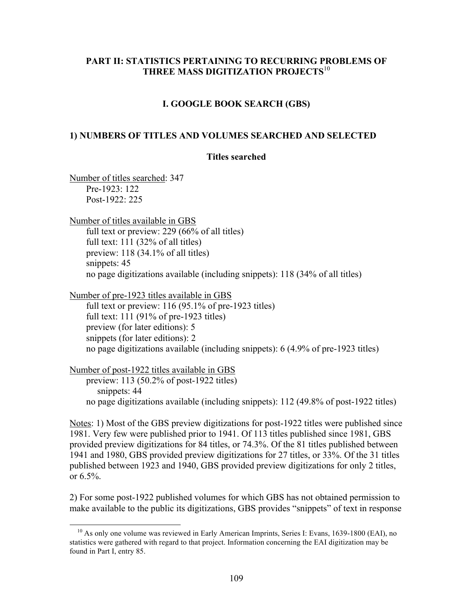## **PART II: STATISTICS PERTAINING TO RECURRING PROBLEMS OF THREE MASS DIGITIZATION PROJECTS**<sup>10</sup>

### **I. GOOGLE BOOK SEARCH (GBS)**

### **1) NUMBERS OF TITLES AND VOLUMES SEARCHED AND SELECTED**

#### **Titles searched**

Number of titles searched: 347 Pre-1923: 122 Post-1922: 225

Number of titles available in GBS full text or preview: 229 (66% of all titles) full text: 111 (32% of all titles) preview: 118 (34.1% of all titles) snippets: 45 no page digitizations available (including snippets): 118 (34% of all titles)

Number of pre-1923 titles available in GBS

full text or preview: 116 (95.1% of pre-1923 titles) full text: 111 (91% of pre-1923 titles) preview (for later editions): 5 snippets (for later editions): 2 no page digitizations available (including snippets): 6 (4.9% of pre-1923 titles)

Number of post-1922 titles available in GBS

preview: 113 (50.2% of post-1922 titles) snippets: 44 no page digitizations available (including snippets): 112 (49.8% of post-1922 titles)

Notes: 1) Most of the GBS preview digitizations for post-1922 titles were published since 1981. Very few were published prior to 1941. Of 113 titles published since 1981, GBS provided preview digitizations for 84 titles, or 74.3%. Of the 81 titles published between 1941 and 1980, GBS provided preview digitizations for 27 titles, or 33%. Of the 31 titles published between 1923 and 1940, GBS provided preview digitizations for only 2 titles, or 6.5%.

2) For some post-1922 published volumes for which GBS has not obtained permission to make available to the public its digitizations, GBS provides "snippets" of text in response

 $10$  As only one volume was reviewed in Early American Imprints, Series I: Evans, 1639-1800 (EAI), no statistics were gathered with regard to that project. Information concerning the EAI digitization may be found in Part I, entry 85.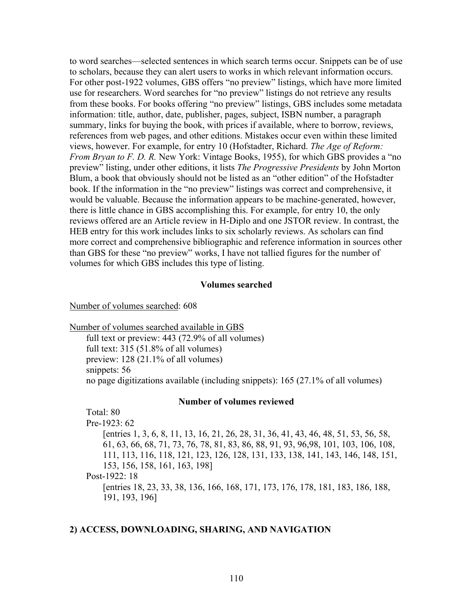to word searches—selected sentences in which search terms occur. Snippets can be of use to scholars, because they can alert users to works in which relevant information occurs. For other post-1922 volumes, GBS offers "no preview" listings, which have more limited use for researchers. Word searches for "no preview" listings do not retrieve any results from these books. For books offering "no preview" listings, GBS includes some metadata information: title, author, date, publisher, pages, subject, ISBN number, a paragraph summary, links for buying the book, with prices if available, where to borrow, reviews, references from web pages, and other editions. Mistakes occur even within these limited views, however. For example, for entry 10 (Hofstadter, Richard. *The Age of Reform: From Bryan to F. D. R.* New York: Vintage Books, 1955), for which GBS provides a "no preview" listing, under other editions, it lists *The Progressive Presidents* by John Morton Blum, a book that obviously should not be listed as an "other edition" of the Hofstadter book. If the information in the "no preview" listings was correct and comprehensive, it would be valuable. Because the information appears to be machine-generated, however, there is little chance in GBS accomplishing this. For example, for entry 10, the only reviews offered are an Article review in H-Diplo and one JSTOR review. In contrast, the HEB entry for this work includes links to six scholarly reviews. As scholars can find more correct and comprehensive bibliographic and reference information in sources other than GBS for these "no preview" works, I have not tallied figures for the number of volumes for which GBS includes this type of listing.

#### **Volumes searched**

#### Number of volumes searched: 608

#### Number of volumes searched available in GBS

full text or preview: 443 (72.9% of all volumes) full text: 315 (51.8% of all volumes) preview: 128 (21.1% of all volumes) snippets: 56 no page digitizations available (including snippets): 165 (27.1% of all volumes)

#### **Number of volumes reviewed**

Total: 80 Pre-1923: 62 [entries 1, 3, 6, 8, 11, 13, 16, 21, 26, 28, 31, 36, 41, 43, 46, 48, 51, 53, 56, 58, 61, 63, 66, 68, 71, 73, 76, 78, 81, 83, 86, 88, 91, 93, 96,98, 101, 103, 106, 108, 111, 113, 116, 118, 121, 123, 126, 128, 131, 133, 138, 141, 143, 146, 148, 151, 153, 156, 158, 161, 163, 198] Post-1922: 18 [entries 18, 23, 33, 38, 136, 166, 168, 171, 173, 176, 178, 181, 183, 186, 188, 191, 193, 196]

### **2) ACCESS, DOWNLOADING, SHARING, AND NAVIGATION**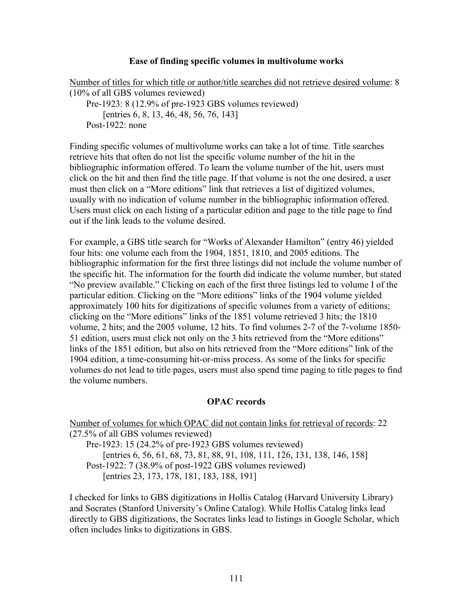### **Ease of finding specific volumes in multivolume works**

Number of titles for which title or author/title searches did not retrieve desired volume: 8 (10% of all GBS volumes reviewed) Pre-1923: 8 (12.9% of pre-1923 GBS volumes reviewed) [entries 6, 8, 13, 46, 48, 56, 76, 143] Post-1922: none

Finding specific volumes of multivolume works can take a lot of time. Title searches retrieve hits that often do not list the specific volume number of the hit in the bibliographic information offered. To learn the volume number of the hit, users must click on the hit and then find the title page. If that volume is not the one desired, a user must then click on a "More editions" link that retrieves a list of digitized volumes, usually with no indication of volume number in the bibliographic information offered. Users must click on each listing of a particular edition and page to the title page to find out if the link leads to the volume desired.

For example, a GBS title search for "Works of Alexander Hamilton" (entry 46) yielded four hits: one volume each from the 1904, 1851, 1810, and 2005 editions. The bibliographic information for the first three listings did not include the volume number of the specific hit. The information for the fourth did indicate the volume number, but stated "No preview available." Clicking on each of the first three listings led to volume I of the particular edition. Clicking on the "More editions" links of the 1904 volume yielded approximately 100 hits for digitizations of specific volumes from a variety of editions; clicking on the "More editions" links of the 1851 volume retrieved 3 hits; the 1810 volume, 2 hits; and the 2005 volume, 12 hits. To find volumes 2-7 of the 7-volume 1850- 51 edition, users must click not only on the 3 hits retrieved from the "More editions" links of the 1851 edition, but also on hits retrieved from the "More editions" link of the 1904 edition, a time-consuming hit-or-miss process. As some of the links for specific volumes do not lead to title pages, users must also spend time paging to title pages to find the volume numbers.

## **OPAC records**

Number of volumes for which OPAC did not contain links for retrieval of records: 22 (27.5% of all GBS volumes reviewed)

Pre-1923: 15 (24.2% of pre-1923 GBS volumes reviewed) [entries 6, 56, 61, 68, 73, 81, 88, 91, 108, 111, 126, 131, 138, 146, 158] Post-1922: 7 (38.9% of post-1922 GBS volumes reviewed) [entries 23, 173, 178, 181, 183, 188, 191]

I checked for links to GBS digitizations in Hollis Catalog (Harvard University Library) and Socrates (Stanford University's Online Catalog). While Hollis Catalog links lead directly to GBS digitizations, the Socrates links lead to listings in Google Scholar, which often includes links to digitizations in GBS.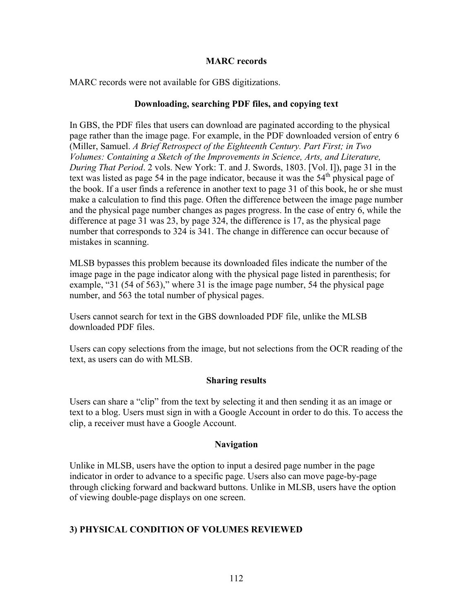### **MARC records**

MARC records were not available for GBS digitizations.

## **Downloading, searching PDF files, and copying text**

In GBS, the PDF files that users can download are paginated according to the physical page rather than the image page. For example, in the PDF downloaded version of entry 6 (Miller, Samuel. *A Brief Retrospect of the Eighteenth Century. Part First; in Two Volumes: Containing a Sketch of the Improvements in Science, Arts, and Literature, During That Period*. 2 vols. New York: T. and J. Swords, 1803. [Vol. I]), page 31 in the text was listed as page 54 in the page indicator, because it was the  $54<sup>th</sup>$  physical page of the book. If a user finds a reference in another text to page 31 of this book, he or she must make a calculation to find this page. Often the difference between the image page number and the physical page number changes as pages progress. In the case of entry 6, while the difference at page 31 was 23, by page 324, the difference is 17, as the physical page number that corresponds to 324 is 341. The change in difference can occur because of mistakes in scanning.

MLSB bypasses this problem because its downloaded files indicate the number of the image page in the page indicator along with the physical page listed in parenthesis; for example, "31 (54 of 563)," where 31 is the image page number, 54 the physical page number, and 563 the total number of physical pages.

Users cannot search for text in the GBS downloaded PDF file, unlike the MLSB downloaded PDF files.

Users can copy selections from the image, but not selections from the OCR reading of the text, as users can do with MLSB.

## **Sharing results**

Users can share a "clip" from the text by selecting it and then sending it as an image or text to a blog. Users must sign in with a Google Account in order to do this. To access the clip, a receiver must have a Google Account.

## **Navigation**

Unlike in MLSB, users have the option to input a desired page number in the page indicator in order to advance to a specific page. Users also can move page-by-page through clicking forward and backward buttons. Unlike in MLSB, users have the option of viewing double-page displays on one screen.

# **3) PHYSICAL CONDITION OF VOLUMES REVIEWED**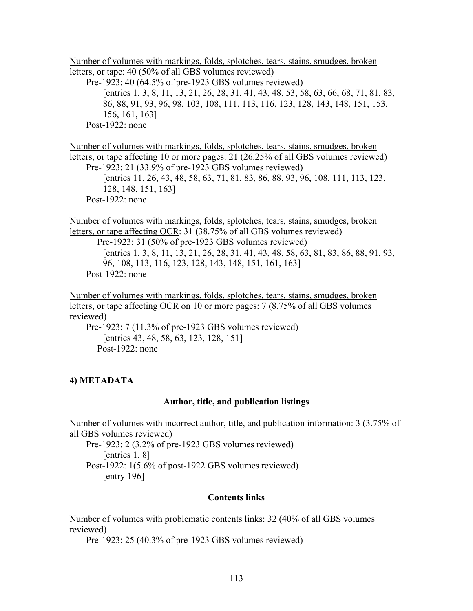Number of volumes with markings, folds, splotches, tears, stains, smudges, broken letters, or tape: 40 (50% of all GBS volumes reviewed) Pre-1923: 40 (64.5% of pre-1923 GBS volumes reviewed) [entries 1, 3, 8, 11, 13, 21, 26, 28, 31, 41, 43, 48, 53, 58, 63, 66, 68, 71, 81, 83, 86, 88, 91, 93, 96, 98, 103, 108, 111, 113, 116, 123, 128, 143, 148, 151, 153, 156, 161, 163] Post-1922: none

Number of volumes with markings, folds, splotches, tears, stains, smudges, broken letters, or tape affecting 10 or more pages: 21 (26.25% of all GBS volumes reviewed) Pre-1923: 21 (33.9% of pre-1923 GBS volumes reviewed) [entries 11, 26, 43, 48, 58, 63, 71, 81, 83, 86, 88, 93, 96, 108, 111, 113, 123, 128, 148, 151, 163] Post-1922: none

Number of volumes with markings, folds, splotches, tears, stains, smudges, broken letters, or tape affecting OCR: 31 (38.75% of all GBS volumes reviewed) Pre-1923: 31 (50% of pre-1923 GBS volumes reviewed) [entries 1, 3, 8, 11, 13, 21, 26, 28, 31, 41, 43, 48, 58, 63, 81, 83, 86, 88, 91, 93, 96, 108, 113, 116, 123, 128, 143, 148, 151, 161, 163] Post-1922: none

Number of volumes with markings, folds, splotches, tears, stains, smudges, broken letters, or tape affecting OCR on 10 or more pages: 7 (8.75% of all GBS volumes reviewed)

Pre-1923: 7 (11.3% of pre-1923 GBS volumes reviewed) [entries 43, 48, 58, 63, 123, 128, 151] Post-1922: none

## **4) METADATA**

## **Author, title, and publication listings**

Number of volumes with incorrect author, title, and publication information: 3 (3.75% of all GBS volumes reviewed)

Pre-1923: 2 (3.2% of pre-1923 GBS volumes reviewed) [entries 1, 8] Post-1922: 1(5.6% of post-1922 GBS volumes reviewed) [entry 196]

## **Contents links**

Number of volumes with problematic contents links: 32 (40% of all GBS volumes reviewed)

Pre-1923: 25 (40.3% of pre-1923 GBS volumes reviewed)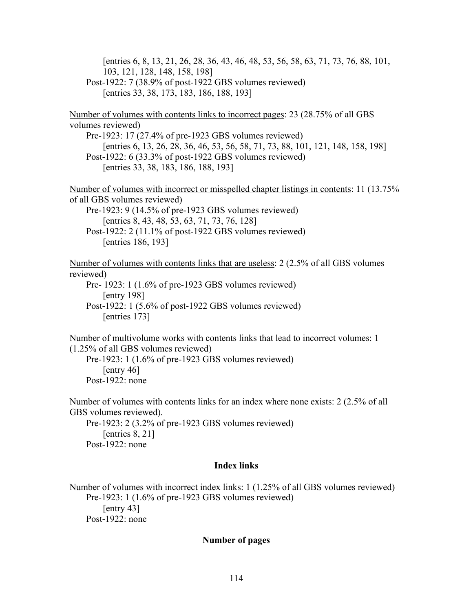[entries 6, 8, 13, 21, 26, 28, 36, 43, 46, 48, 53, 56, 58, 63, 71, 73, 76, 88, 101, 103, 121, 128, 148, 158, 198] Post-1922: 7 (38.9% of post-1922 GBS volumes reviewed) [entries 33, 38, 173, 183, 186, 188, 193] Number of volumes with contents links to incorrect pages: 23 (28.75% of all GBS volumes reviewed) Pre-1923: 17 (27.4% of pre-1923 GBS volumes reviewed) [entries 6, 13, 26, 28, 36, 46, 53, 56, 58, 71, 73, 88, 101, 121, 148, 158, 198] Post-1922: 6 (33.3% of post-1922 GBS volumes reviewed) [entries 33, 38, 183, 186, 188, 193] Number of volumes with incorrect or misspelled chapter listings in contents: 11 (13.75% of all GBS volumes reviewed) Pre-1923: 9 (14.5% of pre-1923 GBS volumes reviewed) [entries 8, 43, 48, 53, 63, 71, 73, 76, 128] Post-1922: 2 (11.1% of post-1922 GBS volumes reviewed) [entries 186, 193] Number of volumes with contents links that are useless: 2 (2.5% of all GBS volumes reviewed) Pre- 1923: 1 (1.6% of pre-1923 GBS volumes reviewed) [entry 198] Post-1922: 1 (5.6% of post-1922 GBS volumes reviewed) [entries 173] Number of multivolume works with contents links that lead to incorrect volumes: 1 (1.25% of all GBS volumes reviewed) Pre-1923: 1 (1.6% of pre-1923 GBS volumes reviewed) [entry 46] Post-1922: none Number of volumes with contents links for an index where none exists: 2 (2.5% of all GBS volumes reviewed). Pre-1923: 2 (3.2% of pre-1923 GBS volumes reviewed) [entries 8, 21] Post-1922: none

### **Index links**

Number of volumes with incorrect index links: 1 (1.25% of all GBS volumes reviewed) Pre-1923: 1 (1.6% of pre-1923 GBS volumes reviewed) [entry 43] Post-1922: none

### **Number of pages**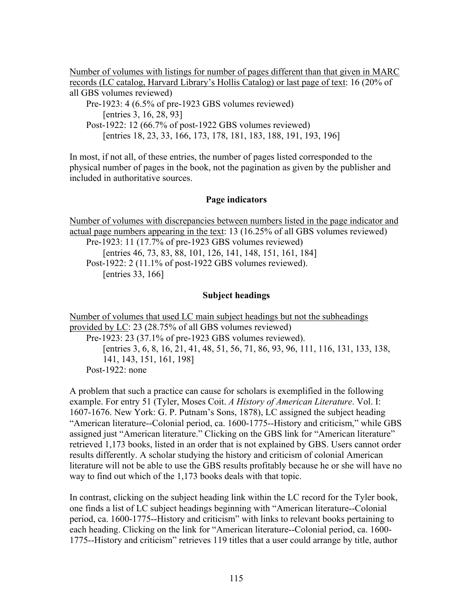Number of volumes with listings for number of pages different than that given in MARC records (LC catalog, Harvard Library's Hollis Catalog) or last page of text: 16 (20% of all GBS volumes reviewed)

Pre-1923: 4 (6.5% of pre-1923 GBS volumes reviewed) [entries 3, 16, 28, 93] Post-1922: 12 (66.7% of post-1922 GBS volumes reviewed) [entries 18, 23, 33, 166, 173, 178, 181, 183, 188, 191, 193, 196]

In most, if not all, of these entries, the number of pages listed corresponded to the physical number of pages in the book, not the pagination as given by the publisher and included in authoritative sources.

## **Page indicators**

Number of volumes with discrepancies between numbers listed in the page indicator and actual page numbers appearing in the text: 13 (16.25% of all GBS volumes reviewed) Pre-1923: 11 (17.7% of pre-1923 GBS volumes reviewed) [entries 46, 73, 83, 88, 101, 126, 141, 148, 151, 161, 184] Post-1922: 2 (11.1% of post-1922 GBS volumes reviewed). [entries 33, 166]

## **Subject headings**

Number of volumes that used LC main subject headings but not the subheadings provided by LC: 23 (28.75% of all GBS volumes reviewed) Pre-1923: 23 (37.1% of pre-1923 GBS volumes reviewed). [entries 3, 6, 8, 16, 21, 41, 48, 51, 56, 71, 86, 93, 96, 111, 116, 131, 133, 138, 141, 143, 151, 161, 198] Post-1922: none

A problem that such a practice can cause for scholars is exemplified in the following example. For entry 51 (Tyler, Moses Coit. *A History of American Literature*. Vol. I: 1607-1676. New York: G. P. Putnam's Sons, 1878), LC assigned the subject heading "American literature--Colonial period, ca. 1600-1775--History and criticism," while GBS assigned just "American literature." Clicking on the GBS link for "American literature" retrieved 1,173 books, listed in an order that is not explained by GBS. Users cannot order results differently. A scholar studying the history and criticism of colonial American literature will not be able to use the GBS results profitably because he or she will have no way to find out which of the 1,173 books deals with that topic.

In contrast, clicking on the subject heading link within the LC record for the Tyler book, one finds a list of LC subject headings beginning with "American literature--Colonial period, ca. 1600-1775--History and criticism" with links to relevant books pertaining to each heading. Clicking on the link for "American literature--Colonial period, ca. 1600- 1775--History and criticism" retrieves 119 titles that a user could arrange by title, author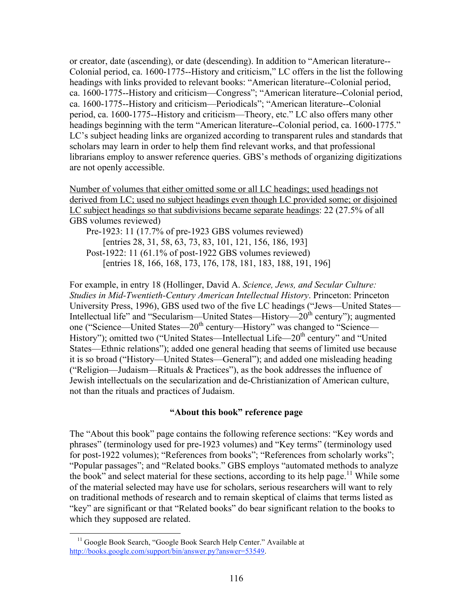or creator, date (ascending), or date (descending). In addition to "American literature-- Colonial period, ca. 1600-1775--History and criticism," LC offers in the list the following headings with links provided to relevant books: "American literature--Colonial period, ca. 1600-1775--History and criticism—Congress"; "American literature--Colonial period, ca. 1600-1775--History and criticism—Periodicals"; "American literature--Colonial period, ca. 1600-1775--History and criticism—Theory, etc." LC also offers many other headings beginning with the term "American literature--Colonial period, ca. 1600-1775." LC's subject heading links are organized according to transparent rules and standards that scholars may learn in order to help them find relevant works, and that professional librarians employ to answer reference queries. GBS's methods of organizing digitizations are not openly accessible.

Number of volumes that either omitted some or all LC headings; used headings not derived from LC; used no subject headings even though LC provided some; or disjoined LC subject headings so that subdivisions became separate headings: 22 (27.5% of all GBS volumes reviewed)

Pre-1923: 11 (17.7% of pre-1923 GBS volumes reviewed) [entries 28, 31, 58, 63, 73, 83, 101, 121, 156, 186, 193] Post-1922: 11 (61.1% of post-1922 GBS volumes reviewed) [entries 18, 166, 168, 173, 176, 178, 181, 183, 188, 191, 196]

For example, in entry 18 (Hollinger, David A. *Science, Jews, and Secular Culture: Studies in Mid-Twentieth-Century American Intellectual History*. Princeton: Princeton University Press, 1996), GBS used two of the five LC headings ("Jews—United States— Intellectual life" and "Secularism—United States—History— $20<sup>th</sup>$  century"); augmented one ("Science—United States—20<sup>th</sup> century—History" was changed to "Science— History"); omitted two ("United States—Intellectual Life—20<sup>th</sup> century" and "United States—Ethnic relations"); added one general heading that seems of limited use because it is so broad ("History—United States—General"); and added one misleading heading ("Religion—Judaism—Rituals  $&$  Practices"), as the book addresses the influence of Jewish intellectuals on the secularization and de-Christianization of American culture, not than the rituals and practices of Judaism.

## **"About this book" reference page**

The "About this book" page contains the following reference sections: "Key words and phrases" (terminology used for pre-1923 volumes) and "Key terms" (terminology used for post-1922 volumes); "References from books"; "References from scholarly works"; "Popular passages"; and "Related books." GBS employs "automated methods to analyze the book" and select material for these sections, according to its help page.<sup>11</sup> While some of the material selected may have use for scholars, serious researchers will want to rely on traditional methods of research and to remain skeptical of claims that terms listed as "key" are significant or that "Related books" do bear significant relation to the books to which they supposed are related.

<sup>&</sup>lt;sup>11</sup> Google Book Search, "Google Book Search Help Center." Available at http://books.google.com/support/bin/answer.py?answer=53549.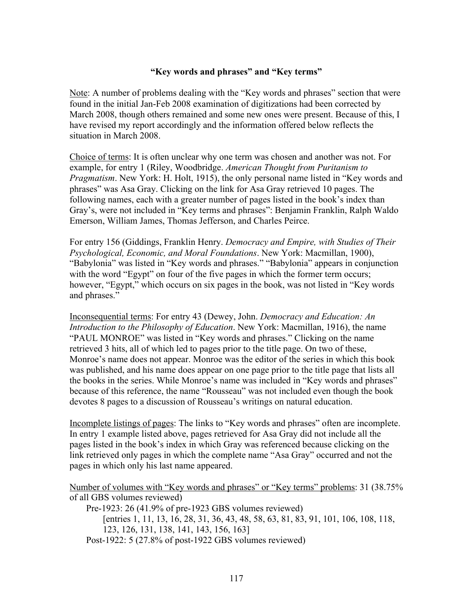## **"Key words and phrases" and "Key terms"**

Note: A number of problems dealing with the "Key words and phrases" section that were found in the initial Jan-Feb 2008 examination of digitizations had been corrected by March 2008, though others remained and some new ones were present. Because of this, I have revised my report accordingly and the information offered below reflects the situation in March 2008.

Choice of terms: It is often unclear why one term was chosen and another was not. For example, for entry 1 (Riley, Woodbridge. *American Thought from Puritanism to Pragmatism*. New York: H. Holt, 1915), the only personal name listed in "Key words and phrases" was Asa Gray. Clicking on the link for Asa Gray retrieved 10 pages. The following names, each with a greater number of pages listed in the book's index than Gray's, were not included in "Key terms and phrases": Benjamin Franklin, Ralph Waldo Emerson, William James, Thomas Jefferson, and Charles Peirce.

For entry 156 (Giddings, Franklin Henry. *Democracy and Empire, with Studies of Their Psychological, Economic, and Moral Foundations*. New York: Macmillan, 1900), "Babylonia" was listed in "Key words and phrases." "Babylonia" appears in conjunction with the word "Egypt" on four of the five pages in which the former term occurs; however, "Egypt," which occurs on six pages in the book, was not listed in "Key words" and phrases."

Inconsequential terms: For entry 43 (Dewey, John. *Democracy and Education: An Introduction to the Philosophy of Education*. New York: Macmillan, 1916), the name "PAUL MONROE" was listed in "Key words and phrases." Clicking on the name retrieved 3 hits, all of which led to pages prior to the title page. On two of these, Monroe's name does not appear. Monroe was the editor of the series in which this book was published, and his name does appear on one page prior to the title page that lists all the books in the series. While Monroe's name was included in "Key words and phrases" because of this reference, the name "Rousseau" was not included even though the book devotes 8 pages to a discussion of Rousseau's writings on natural education.

Incomplete listings of pages: The links to "Key words and phrases" often are incomplete. In entry 1 example listed above, pages retrieved for Asa Gray did not include all the pages listed in the book's index in which Gray was referenced because clicking on the link retrieved only pages in which the complete name "Asa Gray" occurred and not the pages in which only his last name appeared.

Number of volumes with "Key words and phrases" or "Key terms" problems: 31 (38.75% of all GBS volumes reviewed)

Pre-1923: 26 (41.9% of pre-1923 GBS volumes reviewed) [entries 1, 11, 13, 16, 28, 31, 36, 43, 48, 58, 63, 81, 83, 91, 101, 106, 108, 118, 123, 126, 131, 138, 141, 143, 156, 163] Post-1922: 5 (27.8% of post-1922 GBS volumes reviewed)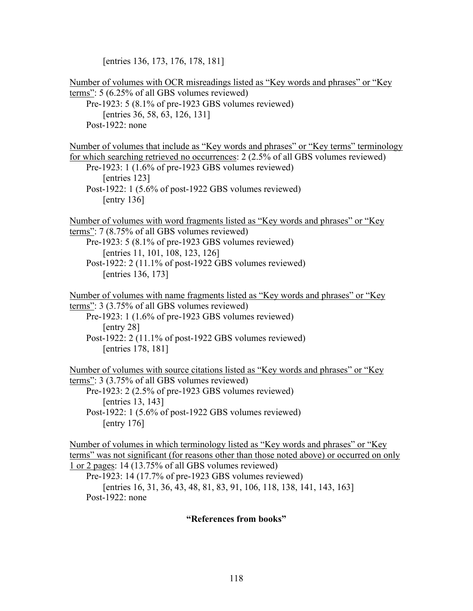[entries 136, 173, 176, 178, 181]

| <u>Number of volumes with OCR misreadings listed as "Key words and phrases" or "Key</u><br><u>terms</u> ": $5(6.25\% \text{ of all GBS volumes reviewed})$<br>Pre-1923: 5 (8.1% of pre-1923 GBS volumes reviewed)<br>[entries 36, 58, 63, 126, 131]<br>Post-1922: none                                                                                                                                |
|-------------------------------------------------------------------------------------------------------------------------------------------------------------------------------------------------------------------------------------------------------------------------------------------------------------------------------------------------------------------------------------------------------|
| Number of volumes that include as "Key words and phrases" or "Key terms" terminology<br>for which searching retrieved no occurrences: 2 (2.5% of all GBS volumes reviewed)<br>Pre-1923: 1 (1.6% of pre-1923 GBS volumes reviewed)<br>[entries 123]<br>Post-1922: 1 (5.6% of post-1922 GBS volumes reviewed)<br>$[$ entry 136 $]$                                                                      |
| <u>Number of volumes with word fragments listed as "Key words and phrases" or "Key</u><br><u>terms"</u> : $7(8.75\% \text{ of all GBS volumes reviewed})$<br>Pre-1923: 5 (8.1% of pre-1923 GBS volumes reviewed)<br>[entries 11, 101, 108, 123, 126]<br>Post-1922: 2 (11.1% of post-1922 GBS volumes reviewed)<br>[entries 136, 173]                                                                  |
| <u>Number of volumes with name fragments listed as "Key words and phrases" or "Key</u><br>terms": 3 (3.75% of all GBS volumes reviewed)<br>Pre-1923: 1 (1.6% of pre-1923 GBS volumes reviewed)<br>$[$ entry 28 $]$<br>Post-1922: 2 (11.1% of post-1922 GBS volumes reviewed)<br>[entries 178, 181]                                                                                                    |
| <u>Number of volumes with source citations listed as "Key words and phrases" or "Key</u><br><u>terms"</u> : $3$ (3.75% of all GBS volumes reviewed)<br>Pre-1923: $2(2.5\% \text{ of pre-1923} \text{ GBS} \text{ volumes reviewed})$<br>[entries 13, 143]<br>Post-1922: 1 (5.6% of post-1922 GBS volumes reviewed)<br>[entry $176$ ]                                                                  |
| <u>Number of volumes in which terminology listed as "Key words and phrases" or "Key</u><br>terms" was not significant (for reasons other than those noted above) or occurred on only<br>$1$ or 2 pages: 14 (13.75% of all GBS volumes reviewed)<br>Pre-1923: 14 (17.7% of pre-1923 GBS volumes reviewed)<br>[entries 16, 31, 36, 43, 48, 81, 83, 91, 106, 118, 138, 141, 143, 163]<br>Post-1922: none |

# **"References from books"**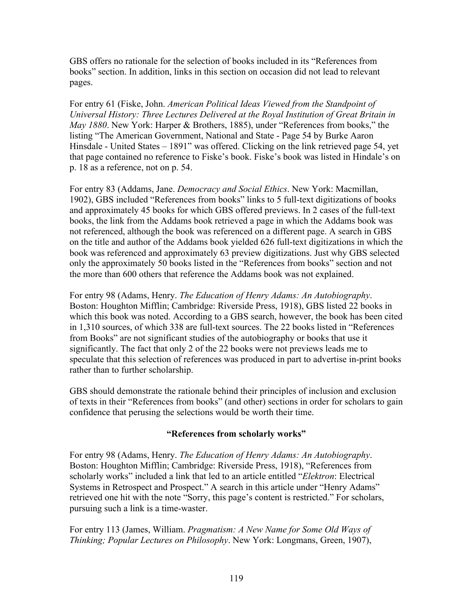GBS offers no rationale for the selection of books included in its "References from books" section. In addition, links in this section on occasion did not lead to relevant pages.

For entry 61 (Fiske, John. *American Political Ideas Viewed from the Standpoint of Universal History: Three Lectures Delivered at the Royal Institution of Great Britain in May 1880*. New York: Harper & Brothers, 1885), under "References from books," the listing "The American Government, National and State - Page 54 by Burke Aaron Hinsdale - United States – 1891" was offered. Clicking on the link retrieved page 54, yet that page contained no reference to Fiske's book. Fiske's book was listed in Hindale's on p. 18 as a reference, not on p. 54.

For entry 83 (Addams, Jane. *Democracy and Social Ethics*. New York: Macmillan, 1902), GBS included "References from books" links to 5 full-text digitizations of books and approximately 45 books for which GBS offered previews. In 2 cases of the full-text books, the link from the Addams book retrieved a page in which the Addams book was not referenced, although the book was referenced on a different page. A search in GBS on the title and author of the Addams book yielded 626 full-text digitizations in which the book was referenced and approximately 63 preview digitizations. Just why GBS selected only the approximately 50 books listed in the "References from books" section and not the more than 600 others that reference the Addams book was not explained.

For entry 98 (Adams, Henry. *The Education of Henry Adams: An Autobiography*. Boston: Houghton Mifflin; Cambridge: Riverside Press, 1918), GBS listed 22 books in which this book was noted. According to a GBS search, however, the book has been cited in 1,310 sources, of which 338 are full-text sources. The 22 books listed in "References from Books" are not significant studies of the autobiography or books that use it significantly. The fact that only 2 of the 22 books were not previews leads me to speculate that this selection of references was produced in part to advertise in-print books rather than to further scholarship.

GBS should demonstrate the rationale behind their principles of inclusion and exclusion of texts in their "References from books" (and other) sections in order for scholars to gain confidence that perusing the selections would be worth their time.

## **"References from scholarly works"**

For entry 98 (Adams, Henry. *The Education of Henry Adams: An Autobiography*. Boston: Houghton Mifflin; Cambridge: Riverside Press, 1918), "References from scholarly works" included a link that led to an article entitled "*Elektron*: Electrical Systems in Retrospect and Prospect." A search in this article under "Henry Adams" retrieved one hit with the note "Sorry, this page's content is restricted." For scholars, pursuing such a link is a time-waster.

For entry 113 (James, William. *Pragmatism: A New Name for Some Old Ways of Thinking; Popular Lectures on Philosophy*. New York: Longmans, Green, 1907),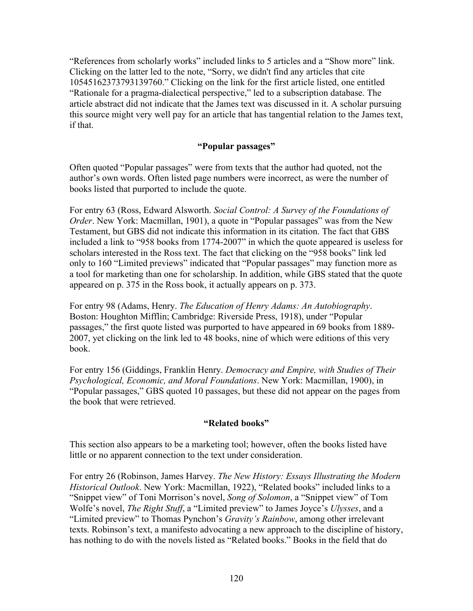"References from scholarly works" included links to 5 articles and a "Show more" link. Clicking on the latter led to the note, "Sorry, we didn't find any articles that cite 10545162373793139760." Clicking on the link for the first article listed, one entitled "Rationale for a pragma-dialectical perspective," led to a subscription database. The article abstract did not indicate that the James text was discussed in it. A scholar pursuing this source might very well pay for an article that has tangential relation to the James text, if that.

## **"Popular passages"**

Often quoted "Popular passages" were from texts that the author had quoted, not the author's own words. Often listed page numbers were incorrect, as were the number of books listed that purported to include the quote.

For entry 63 (Ross, Edward Alsworth. *Social Control: A Survey of the Foundations of Order*. New York: Macmillan, 1901), a quote in "Popular passages" was from the New Testament, but GBS did not indicate this information in its citation. The fact that GBS included a link to "958 books from 1774-2007" in which the quote appeared is useless for scholars interested in the Ross text. The fact that clicking on the "958 books" link led only to 160 "Limited previews" indicated that "Popular passages" may function more as a tool for marketing than one for scholarship. In addition, while GBS stated that the quote appeared on p. 375 in the Ross book, it actually appears on p. 373.

For entry 98 (Adams, Henry. *The Education of Henry Adams: An Autobiography*. Boston: Houghton Mifflin; Cambridge: Riverside Press, 1918), under "Popular passages," the first quote listed was purported to have appeared in 69 books from 1889- 2007, yet clicking on the link led to 48 books, nine of which were editions of this very book.

For entry 156 (Giddings, Franklin Henry. *Democracy and Empire, with Studies of Their Psychological, Economic, and Moral Foundations*. New York: Macmillan, 1900), in "Popular passages," GBS quoted 10 passages, but these did not appear on the pages from the book that were retrieved.

## **"Related books"**

This section also appears to be a marketing tool; however, often the books listed have little or no apparent connection to the text under consideration.

For entry 26 (Robinson, James Harvey. *The New History: Essays Illustrating the Modern Historical Outlook*. New York: Macmillan, 1922), "Related books" included links to a "Snippet view" of Toni Morrison's novel, *Song of Solomon*, a "Snippet view" of Tom Wolfe's novel, *The Right Stuff*, a "Limited preview" to James Joyce's *Ulysses*, and a "Limited preview" to Thomas Pynchon's *Gravity's Rainbow*, among other irrelevant texts. Robinson's text, a manifesto advocating a new approach to the discipline of history, has nothing to do with the novels listed as "Related books." Books in the field that do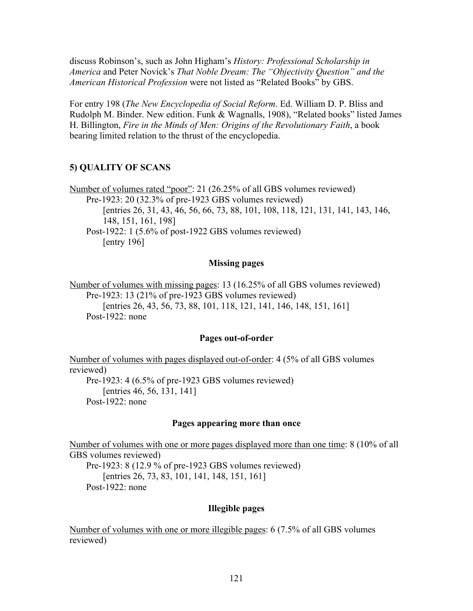discuss Robinson's, such as John Higham's *History: Professional Scholarship in America* and Peter Novick's *That Noble Dream: The "Objectivity Question" and the American Historical Profession* were not listed as "Related Books" by GBS.

For entry 198 (*The New Encyclopedia of Social Reform*. Ed. William D. P. Bliss and Rudolph M. Binder. New edition. Funk & Wagnalls, 1908), "Related books" listed James H. Billington, *Fire in the Minds of Men: Origins of the Revolutionary Faith*, a book bearing limited relation to the thrust of the encyclopedia.

### **5) QUALITY OF SCANS**

Number of volumes rated "poor": 21 (26.25% of all GBS volumes reviewed) Pre-1923: 20 (32.3% of pre-1923 GBS volumes reviewed) [entries 26, 31, 43, 46, 56, 66, 73, 88, 101, 108, 118, 121, 131, 141, 143, 146, 148, 151, 161, 198] Post-1922: 1 (5.6% of post-1922 GBS volumes reviewed) [entry 196]

#### **Missing pages**

Number of volumes with missing pages: 13 (16.25% of all GBS volumes reviewed) Pre-1923: 13 (21% of pre-1923 GBS volumes reviewed) [entries 26, 43, 56, 73, 88, 101, 118, 121, 141, 146, 148, 151, 161] Post-1922: none

#### **Pages out-of-order**

Number of volumes with pages displayed out-of-order: 4 (5% of all GBS volumes reviewed) Pre-1923: 4 (6.5% of pre-1923 GBS volumes reviewed) [entries 46, 56, 131, 141] Post-1922: none

#### **Pages appearing more than once**

Number of volumes with one or more pages displayed more than one time: 8 (10% of all GBS volumes reviewed)

Pre-1923: 8 (12.9 % of pre-1923 GBS volumes reviewed) [entries 26, 73, 83, 101, 141, 148, 151, 161] Post-1922: none

### **Illegible pages**

Number of volumes with one or more illegible pages: 6 (7.5% of all GBS volumes reviewed)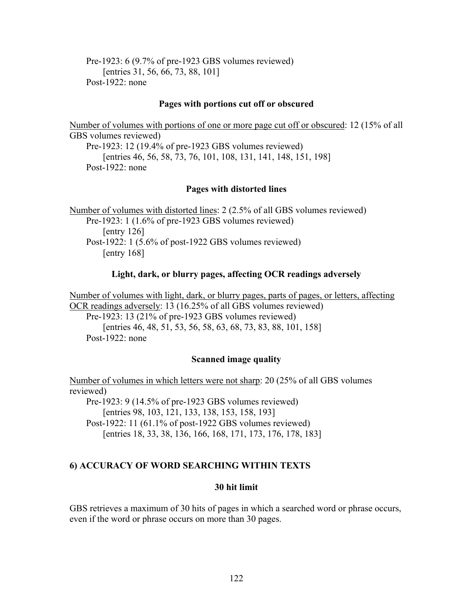Pre-1923: 6 (9.7% of pre-1923 GBS volumes reviewed) [entries 31, 56, 66, 73, 88, 101] Post-1922: none

#### **Pages with portions cut off or obscured**

Number of volumes with portions of one or more page cut off or obscured: 12 (15% of all GBS volumes reviewed) Pre-1923: 12 (19.4% of pre-1923 GBS volumes reviewed) [entries 46, 56, 58, 73, 76, 101, 108, 131, 141, 148, 151, 198] Post-1922 $\cdot$  none

### **Pages with distorted lines**

Number of volumes with distorted lines: 2 (2.5% of all GBS volumes reviewed) Pre-1923: 1 (1.6% of pre-1923 GBS volumes reviewed) [entry 126] Post-1922: 1 (5.6% of post-1922 GBS volumes reviewed) [entry 168]

### **Light, dark, or blurry pages, affecting OCR readings adversely**

Number of volumes with light, dark, or blurry pages, parts of pages, or letters, affecting OCR readings adversely: 13 (16.25% of all GBS volumes reviewed) Pre-1923: 13 (21% of pre-1923 GBS volumes reviewed)

[entries 46, 48, 51, 53, 56, 58, 63, 68, 73, 83, 88, 101, 158] Post-1922: none

### **Scanned image quality**

Number of volumes in which letters were not sharp: 20 (25% of all GBS volumes reviewed) Pre-1923: 9 (14.5% of pre-1923 GBS volumes reviewed) [entries 98, 103, 121, 133, 138, 153, 158, 193] Post-1922: 11 (61.1% of post-1922 GBS volumes reviewed) [entries 18, 33, 38, 136, 166, 168, 171, 173, 176, 178, 183]

### **6) ACCURACY OF WORD SEARCHING WITHIN TEXTS**

#### **30 hit limit**

GBS retrieves a maximum of 30 hits of pages in which a searched word or phrase occurs, even if the word or phrase occurs on more than 30 pages.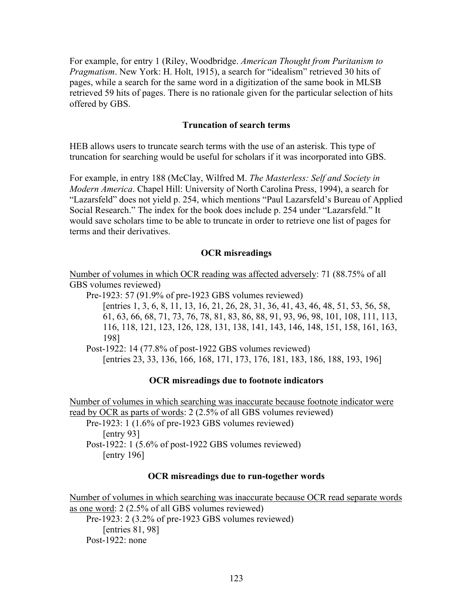For example, for entry 1 (Riley, Woodbridge. *American Thought from Puritanism to Pragmatism*. New York: H. Holt, 1915), a search for "idealism" retrieved 30 hits of pages, while a search for the same word in a digitization of the same book in MLSB retrieved 59 hits of pages. There is no rationale given for the particular selection of hits offered by GBS.

### **Truncation of search terms**

HEB allows users to truncate search terms with the use of an asterisk. This type of truncation for searching would be useful for scholars if it was incorporated into GBS.

For example, in entry 188 (McClay, Wilfred M. *The Masterless: Self and Society in Modern America*. Chapel Hill: University of North Carolina Press, 1994), a search for "Lazarsfeld" does not yield p. 254, which mentions "Paul Lazarsfeld's Bureau of Applied Social Research." The index for the book does include p. 254 under "Lazarsfeld." It would save scholars time to be able to truncate in order to retrieve one list of pages for terms and their derivatives.

### **OCR misreadings**

Number of volumes in which OCR reading was affected adversely: 71 (88.75% of all GBS volumes reviewed)

Pre-1923: 57 (91.9% of pre-1923 GBS volumes reviewed)

[entries 1, 3, 6, 8, 11, 13, 16, 21, 26, 28, 31, 36, 41, 43, 46, 48, 51, 53, 56, 58, 61, 63, 66, 68, 71, 73, 76, 78, 81, 83, 86, 88, 91, 93, 96, 98, 101, 108, 111, 113, 116, 118, 121, 123, 126, 128, 131, 138, 141, 143, 146, 148, 151, 158, 161, 163, 198]

Post-1922: 14 (77.8% of post-1922 GBS volumes reviewed)

[entries 23, 33, 136, 166, 168, 171, 173, 176, 181, 183, 186, 188, 193, 196]

## **OCR misreadings due to footnote indicators**

Number of volumes in which searching was inaccurate because footnote indicator were read by OCR as parts of words: 2 (2.5% of all GBS volumes reviewed) Pre-1923: 1 (1.6% of pre-1923 GBS volumes reviewed) [entry 93]

Post-1922: 1 (5.6% of post-1922 GBS volumes reviewed) [entry 196]

### **OCR misreadings due to run-together words**

Number of volumes in which searching was inaccurate because OCR read separate words as one word: 2 (2.5% of all GBS volumes reviewed) Pre-1923: 2 (3.2% of pre-1923 GBS volumes reviewed) [entries 81, 98] Post-1922 $\cdot$  none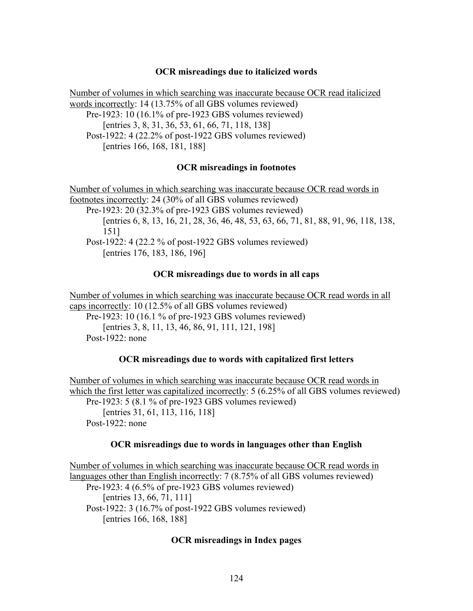### **OCR misreadings due to italicized words**

Number of volumes in which searching was inaccurate because OCR read italicized words incorrectly: 14 (13.75% of all GBS volumes reviewed) Pre-1923: 10 (16.1% of pre-1923 GBS volumes reviewed) [entries 3, 8, 31, 36, 53, 61, 66, 71, 118, 138] Post-1922: 4 (22.2% of post-1922 GBS volumes reviewed) [entries 166, 168, 181, 188]

### **OCR misreadings in footnotes**

Number of volumes in which searching was inaccurate because OCR read words in footnotes incorrectly: 24 (30% of all GBS volumes reviewed) Pre-1923: 20 (32.3% of pre-1923 GBS volumes reviewed) [entries 6, 8, 13, 16, 21, 28, 36, 46, 48, 53, 63, 66, 71, 81, 88, 91, 96, 118, 138, 151] Post-1922: 4 (22.2 % of post-1922 GBS volumes reviewed) [entries 176, 183, 186, 196]

### **OCR misreadings due to words in all caps**

Number of volumes in which searching was inaccurate because OCR read words in all caps incorrectly: 10 (12.5% of all GBS volumes reviewed) Pre-1923: 10 (16.1 % of pre-1923 GBS volumes reviewed) [entries 3, 8, 11, 13, 46, 86, 91, 111, 121, 198] Post-1922: none

## **OCR misreadings due to words with capitalized first letters**

Number of volumes in which searching was inaccurate because OCR read words in which the first letter was capitalized incorrectly: 5 (6.25% of all GBS volumes reviewed) Pre-1923: 5 (8.1 % of pre-1923 GBS volumes reviewed) [entries 31, 61, 113, 116, 118] Post-1922: none

### **OCR misreadings due to words in languages other than English**

Number of volumes in which searching was inaccurate because OCR read words in languages other than English incorrectly: 7 (8.75% of all GBS volumes reviewed) Pre-1923: 4 (6.5% of pre-1923 GBS volumes reviewed) [entries 13, 66, 71, 111] Post-1922: 3 (16.7% of post-1922 GBS volumes reviewed) [entries 166, 168, 188]

### **OCR misreadings in Index pages**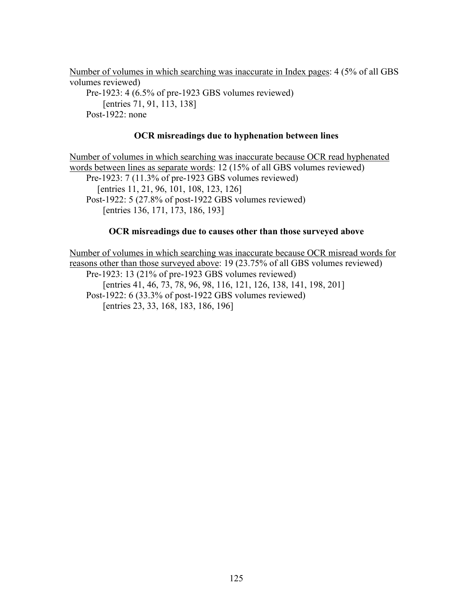Number of volumes in which searching was inaccurate in Index pages: 4 (5% of all GBS volumes reviewed) Pre-1923: 4 (6.5% of pre-1923 GBS volumes reviewed) [entries 71, 91, 113, 138] Post-1922: none

## **OCR misreadings due to hyphenation between lines**

Number of volumes in which searching was inaccurate because OCR read hyphenated words between lines as separate words: 12 (15% of all GBS volumes reviewed) Pre-1923: 7 (11.3% of pre-1923 GBS volumes reviewed) [entries 11, 21, 96, 101, 108, 123, 126] Post-1922: 5 (27.8% of post-1922 GBS volumes reviewed) [entries 136, 171, 173, 186, 193]

### **OCR misreadings due to causes other than those surveyed above**

Number of volumes in which searching was inaccurate because OCR misread words for reasons other than those surveyed above: 19 (23.75% of all GBS volumes reviewed) Pre-1923: 13 (21% of pre-1923 GBS volumes reviewed) [entries 41, 46, 73, 78, 96, 98, 116, 121, 126, 138, 141, 198, 201]

Post-1922: 6 (33.3% of post-1922 GBS volumes reviewed) [entries 23, 33, 168, 183, 186, 196]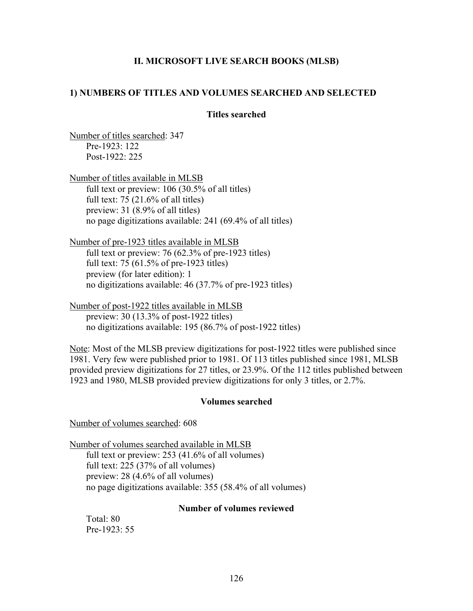## **II. MICROSOFT LIVE SEARCH BOOKS (MLSB)**

### **1) NUMBERS OF TITLES AND VOLUMES SEARCHED AND SELECTED**

### **Titles searched**

Number of titles searched: 347 Pre-1923: 122 Post-1922: 225

Number of titles available in MLSB full text or preview: 106 (30.5% of all titles) full text:  $75$  (21.6% of all titles) preview: 31 (8.9% of all titles) no page digitizations available: 241 (69.4% of all titles)

Number of pre-1923 titles available in MLSB full text or preview: 76 (62.3% of pre-1923 titles) full text: 75 (61.5% of pre-1923 titles) preview (for later edition): 1 no digitizations available: 46 (37.7% of pre-1923 titles)

Number of post-1922 titles available in MLSB preview: 30 (13.3% of post-1922 titles) no digitizations available: 195 (86.7% of post-1922 titles)

Note: Most of the MLSB preview digitizations for post-1922 titles were published since 1981. Very few were published prior to 1981. Of 113 titles published since 1981, MLSB provided preview digitizations for 27 titles, or 23.9%. Of the 112 titles published between 1923 and 1980, MLSB provided preview digitizations for only 3 titles, or 2.7%.

### **Volumes searched**

Number of volumes searched: 608

Number of volumes searched available in MLSB full text or preview: 253 (41.6% of all volumes) full text: 225 (37% of all volumes) preview: 28 (4.6% of all volumes) no page digitizations available: 355 (58.4% of all volumes)

### **Number of volumes reviewed**

Total: 80 Pre-1923: 55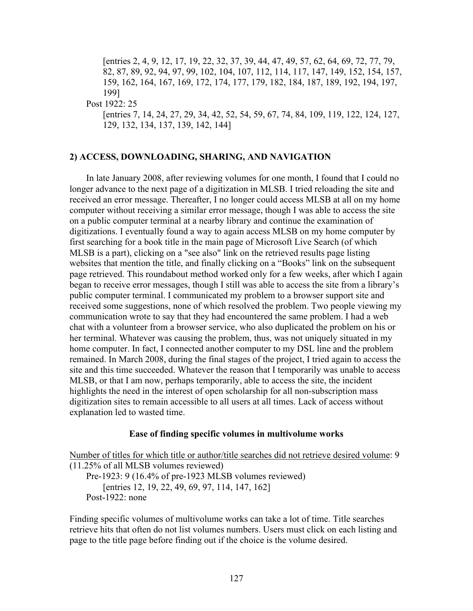[entries 2, 4, 9, 12, 17, 19, 22, 32, 37, 39, 44, 47, 49, 57, 62, 64, 69, 72, 77, 79, 82, 87, 89, 92, 94, 97, 99, 102, 104, 107, 112, 114, 117, 147, 149, 152, 154, 157, 159, 162, 164, 167, 169, 172, 174, 177, 179, 182, 184, 187, 189, 192, 194, 197, 199]

Post 1922: 25

[entries 7, 14, 24, 27, 29, 34, 42, 52, 54, 59, 67, 74, 84, 109, 119, 122, 124, 127, 129, 132, 134, 137, 139, 142, 144]

#### **2) ACCESS, DOWNLOADING, SHARING, AND NAVIGATION**

In late January 2008, after reviewing volumes for one month, I found that I could no longer advance to the next page of a digitization in MLSB. I tried reloading the site and received an error message. Thereafter, I no longer could access MLSB at all on my home computer without receiving a similar error message, though I was able to access the site on a public computer terminal at a nearby library and continue the examination of digitizations. I eventually found a way to again access MLSB on my home computer by first searching for a book title in the main page of Microsoft Live Search (of which MLSB is a part), clicking on a "see also" link on the retrieved results page listing websites that mention the title, and finally clicking on a "Books" link on the subsequent page retrieved. This roundabout method worked only for a few weeks, after which I again began to receive error messages, though I still was able to access the site from a library's public computer terminal. I communicated my problem to a browser support site and received some suggestions, none of which resolved the problem. Two people viewing my communication wrote to say that they had encountered the same problem. I had a web chat with a volunteer from a browser service, who also duplicated the problem on his or her terminal. Whatever was causing the problem, thus, was not uniquely situated in my home computer. In fact, I connected another computer to my DSL line and the problem remained. In March 2008, during the final stages of the project, I tried again to access the site and this time succeeded. Whatever the reason that I temporarily was unable to access MLSB, or that I am now, perhaps temporarily, able to access the site, the incident highlights the need in the interest of open scholarship for all non-subscription mass digitization sites to remain accessible to all users at all times. Lack of access without explanation led to wasted time.

#### **Ease of finding specific volumes in multivolume works**

Number of titles for which title or author/title searches did not retrieve desired volume: 9 (11.25% of all MLSB volumes reviewed) Pre-1923: 9 (16.4% of pre-1923 MLSB volumes reviewed) [entries 12, 19, 22, 49, 69, 97, 114, 147, 162] Post-1922: none

Finding specific volumes of multivolume works can take a lot of time. Title searches retrieve hits that often do not list volumes numbers. Users must click on each listing and page to the title page before finding out if the choice is the volume desired.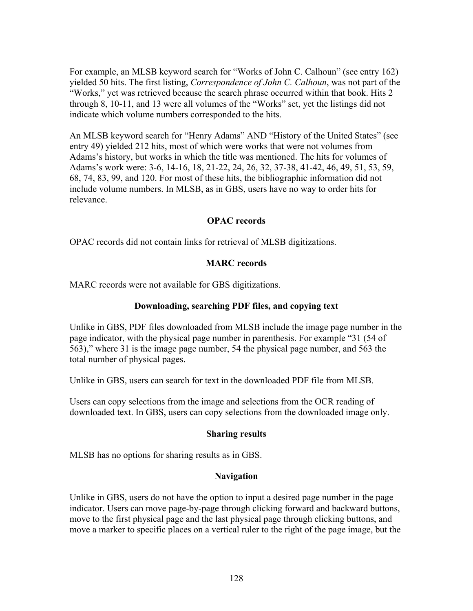For example, an MLSB keyword search for "Works of John C. Calhoun" (see entry 162) yielded 50 hits. The first listing, *Correspondence of John C. Calhoun*, was not part of the "Works," yet was retrieved because the search phrase occurred within that book. Hits 2 through 8, 10-11, and 13 were all volumes of the "Works" set, yet the listings did not indicate which volume numbers corresponded to the hits.

An MLSB keyword search for "Henry Adams" AND "History of the United States" (see entry 49) yielded 212 hits, most of which were works that were not volumes from Adams's history, but works in which the title was mentioned. The hits for volumes of Adams's work were: 3-6, 14-16, 18, 21-22, 24, 26, 32, 37-38, 41-42, 46, 49, 51, 53, 59, 68, 74, 83, 99, and 120. For most of these hits, the bibliographic information did not include volume numbers. In MLSB, as in GBS, users have no way to order hits for relevance.

## **OPAC records**

OPAC records did not contain links for retrieval of MLSB digitizations.

## **MARC records**

MARC records were not available for GBS digitizations.

## **Downloading, searching PDF files, and copying text**

Unlike in GBS, PDF files downloaded from MLSB include the image page number in the page indicator, with the physical page number in parenthesis. For example "31 (54 of 563)," where 31 is the image page number, 54 the physical page number, and 563 the total number of physical pages.

Unlike in GBS, users can search for text in the downloaded PDF file from MLSB.

Users can copy selections from the image and selections from the OCR reading of downloaded text. In GBS, users can copy selections from the downloaded image only.

## **Sharing results**

MLSB has no options for sharing results as in GBS.

## **Navigation**

Unlike in GBS, users do not have the option to input a desired page number in the page indicator. Users can move page-by-page through clicking forward and backward buttons, move to the first physical page and the last physical page through clicking buttons, and move a marker to specific places on a vertical ruler to the right of the page image, but the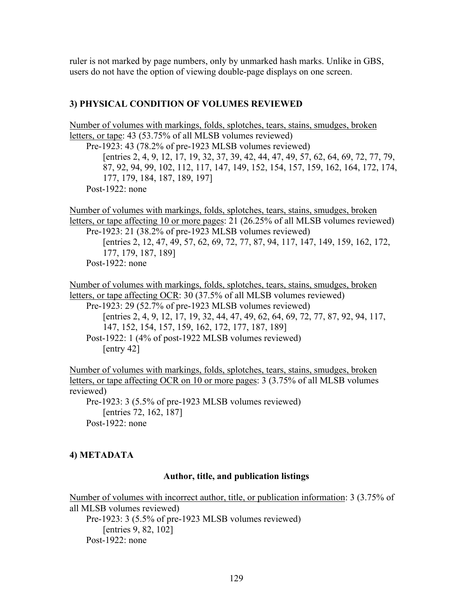ruler is not marked by page numbers, only by unmarked hash marks. Unlike in GBS, users do not have the option of viewing double-page displays on one screen.

### **3) PHYSICAL CONDITION OF VOLUMES REVIEWED**

Number of volumes with markings, folds, splotches, tears, stains, smudges, broken letters, or tape: 43 (53.75% of all MLSB volumes reviewed) Pre-1923: 43 (78.2% of pre-1923 MLSB volumes reviewed) [entries 2, 4, 9, 12, 17, 19, 32, 37, 39, 42, 44, 47, 49, 57, 62, 64, 69, 72, 77, 79, 87, 92, 94, 99, 102, 112, 117, 147, 149, 152, 154, 157, 159, 162, 164, 172, 174, 177, 179, 184, 187, 189, 197]

Post-1922: none

Number of volumes with markings, folds, splotches, tears, stains, smudges, broken letters, or tape affecting 10 or more pages: 21 (26.25% of all MLSB volumes reviewed) Pre-1923: 21 (38.2% of pre-1923 MLSB volumes reviewed) [entries 2, 12, 47, 49, 57, 62, 69, 72, 77, 87, 94, 117, 147, 149, 159, 162, 172, 177, 179, 187, 189] Post-1922: none

Number of volumes with markings, folds, splotches, tears, stains, smudges, broken letters, or tape affecting OCR: 30 (37.5% of all MLSB volumes reviewed) Pre-1923: 29 (52.7% of pre-1923 MLSB volumes reviewed) [entries 2, 4, 9, 12, 17, 19, 32, 44, 47, 49, 62, 64, 69, 72, 77, 87, 92, 94, 117, 147, 152, 154, 157, 159, 162, 172, 177, 187, 189] Post-1922: 1 (4% of post-1922 MLSB volumes reviewed) [entry 42]

Number of volumes with markings, folds, splotches, tears, stains, smudges, broken letters, or tape affecting OCR on 10 or more pages: 3 (3.75% of all MLSB volumes reviewed)

Pre-1923: 3 (5.5% of pre-1923 MLSB volumes reviewed) [entries 72, 162, 187] Post-1922: none

### **4) METADATA**

#### **Author, title, and publication listings**

Number of volumes with incorrect author, title, or publication information: 3 (3.75% of all MLSB volumes reviewed) Pre-1923: 3 (5.5% of pre-1923 MLSB volumes reviewed) [entries 9, 82, 102] Post-1922 $\cdot$  none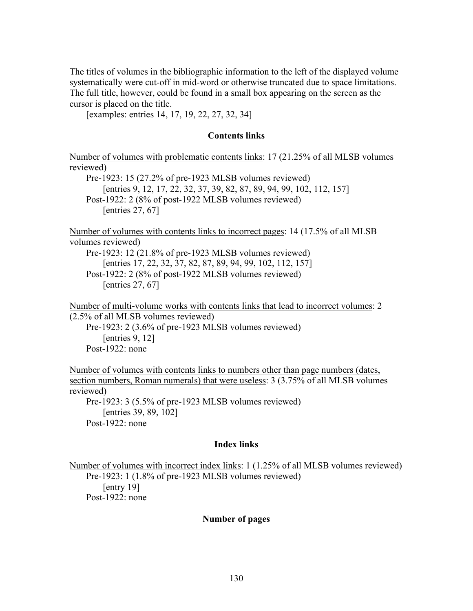The titles of volumes in the bibliographic information to the left of the displayed volume systematically were cut-off in mid-word or otherwise truncated due to space limitations. The full title, however, could be found in a small box appearing on the screen as the cursor is placed on the title.

[examples: entries 14, 17, 19, 22, 27, 32, 34]

### **Contents links**

Number of volumes with problematic contents links: 17 (21.25% of all MLSB volumes reviewed)

Pre-1923: 15 (27.2% of pre-1923 MLSB volumes reviewed) [entries 9, 12, 17, 22, 32, 37, 39, 82, 87, 89, 94, 99, 102, 112, 157] Post-1922: 2 (8% of post-1922 MLSB volumes reviewed) [entries 27, 67]

Number of volumes with contents links to incorrect pages: 14 (17.5% of all MLSB volumes reviewed)

Pre-1923: 12 (21.8% of pre-1923 MLSB volumes reviewed) [entries 17, 22, 32, 37, 82, 87, 89, 94, 99, 102, 112, 157] Post-1922: 2 (8% of post-1922 MLSB volumes reviewed) [entries 27, 67]

Number of multi-volume works with contents links that lead to incorrect volumes: 2 (2.5% of all MLSB volumes reviewed)

Pre-1923: 2 (3.6% of pre-1923 MLSB volumes reviewed) [entries 9, 12] Post-1922: none

Number of volumes with contents links to numbers other than page numbers (dates, section numbers, Roman numerals) that were useless: 3 (3.75% of all MLSB volumes reviewed)

Pre-1923: 3 (5.5% of pre-1923 MLSB volumes reviewed) [entries 39, 89, 102] Post-1922: none

### **Index links**

Number of volumes with incorrect index links: 1 (1.25% of all MLSB volumes reviewed) Pre-1923: 1 (1.8% of pre-1923 MLSB volumes reviewed) [entry 19] Post-1922: none

### **Number of pages**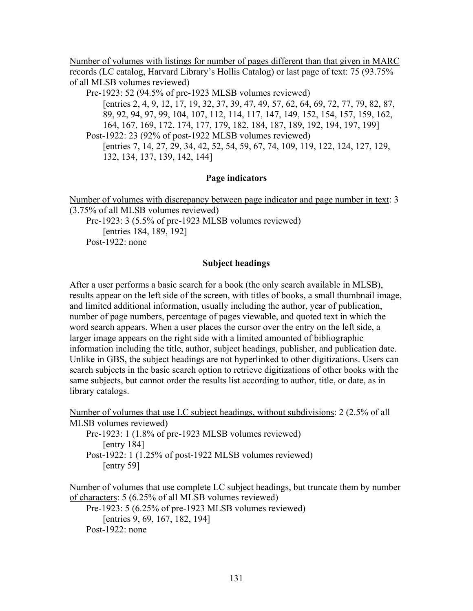Number of volumes with listings for number of pages different than that given in MARC records (LC catalog, Harvard Library's Hollis Catalog) or last page of text: 75 (93.75% of all MLSB volumes reviewed)

Pre-1923: 52 (94.5% of pre-1923 MLSB volumes reviewed) [entries 2, 4, 9, 12, 17, 19, 32, 37, 39, 47, 49, 57, 62, 64, 69, 72, 77, 79, 82, 87, 89, 92, 94, 97, 99, 104, 107, 112, 114, 117, 147, 149, 152, 154, 157, 159, 162, 164, 167, 169, 172, 174, 177, 179, 182, 184, 187, 189, 192, 194, 197, 199] Post-1922: 23 (92% of post-1922 MLSB volumes reviewed) [entries 7, 14, 27, 29, 34, 42, 52, 54, 59, 67, 74, 109, 119, 122, 124, 127, 129, 132, 134, 137, 139, 142, 144]

## **Page indicators**

Number of volumes with discrepancy between page indicator and page number in text: 3 (3.75% of all MLSB volumes reviewed) Pre-1923: 3 (5.5% of pre-1923 MLSB volumes reviewed) [entries 184, 189, 192]

Post-1922: none

## **Subject headings**

After a user performs a basic search for a book (the only search available in MLSB), results appear on the left side of the screen, with titles of books, a small thumbnail image, and limited additional information, usually including the author, year of publication, number of page numbers, percentage of pages viewable, and quoted text in which the word search appears. When a user places the cursor over the entry on the left side, a larger image appears on the right side with a limited amounted of bibliographic information including the title, author, subject headings, publisher, and publication date. Unlike in GBS, the subject headings are not hyperlinked to other digitizations. Users can search subjects in the basic search option to retrieve digitizations of other books with the same subjects, but cannot order the results list according to author, title, or date, as in library catalogs.

Number of volumes that use LC subject headings, without subdivisions: 2 (2.5% of all MLSB volumes reviewed) Pre-1923: 1 (1.8% of pre-1923 MLSB volumes reviewed)

[entry 184] Post-1922: 1 (1.25% of post-1922 MLSB volumes reviewed) [entry 59]

Number of volumes that use complete LC subject headings, but truncate them by number of characters: 5 (6.25% of all MLSB volumes reviewed) Pre-1923: 5 (6.25% of pre-1923 MLSB volumes reviewed) [entries 9, 69, 167, 182, 194] Post-1922: none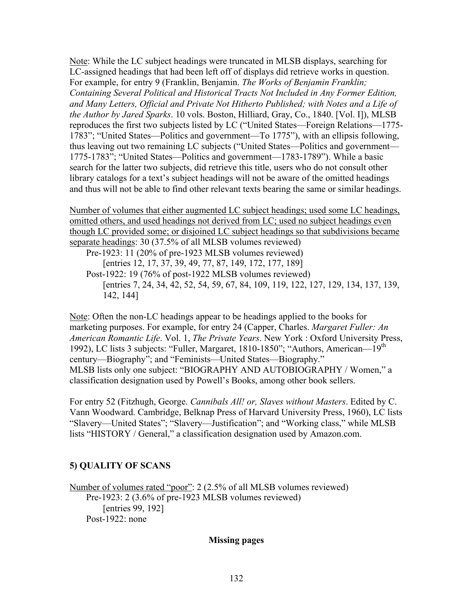Note: While the LC subject headings were truncated in MLSB displays, searching for LC-assigned headings that had been left off of displays did retrieve works in question. For example, for entry 9 (Franklin, Benjamin. *The Works of Benjamin Franklin; Containing Several Political and Historical Tracts Not Included in Any Former Edition, and Many Letters, Official and Private Not Hitherto Published; with Notes and a Life of the Author by Jared Sparks*. 10 vols. Boston, Hilliard, Gray, Co., 1840. [Vol. I]), MLSB reproduces the first two subjects listed by LC ("United States—Foreign Relations—1775- 1783"; "United States—Politics and government—To 1775"), with an ellipsis following, thus leaving out two remaining LC subjects ("United States—Politics and government— 1775-1783"; "United States—Politics and government—1783-1789"). While a basic search for the latter two subjects, did retrieve this title, users who do not consult other library catalogs for a text's subject headings will not be aware of the omitted headings and thus will not be able to find other relevant texts bearing the same or similar headings.

Number of volumes that either augmented LC subject headings; used some LC headings, omitted others, and used headings not derived from LC; used no subject headings even though LC provided some; or disjoined LC subject headings so that subdivisions became separate headings: 30 (37.5% of all MLSB volumes reviewed) Pre-1923: 11 (20% of pre-1923 MLSB volumes reviewed)

[entries 12, 17, 37, 39, 49, 77, 87, 149, 172, 177, 189] Post-1922: 19 (76% of post-1922 MLSB volumes reviewed) [entries 7, 24, 34, 42, 52, 54, 59, 67, 84, 109, 119, 122, 127, 129, 134, 137, 139, 142, 144]

Note: Often the non-LC headings appear to be headings applied to the books for marketing purposes. For example, for entry 24 (Capper, Charles. *Margaret Fuller: An American Romantic Life*. Vol. 1, *The Private Years*. New York : Oxford University Press, 1992), LC lists 3 subjects: "Fuller, Margaret, 1810-1850"; "Authors, American—19<sup>th</sup> century—Biography"; and "Feminists—United States—Biography." MLSB lists only one subject: "BIOGRAPHY AND AUTOBIOGRAPHY / Women," a classification designation used by Powell's Books, among other book sellers.

For entry 52 (Fitzhugh, George. *Cannibals All! or, Slaves without Masters*. Edited by C. Vann Woodward. Cambridge, Belknap Press of Harvard University Press, 1960), LC lists "Slavery—United States"; "Slavery—Justification"; and "Working class," while MLSB lists "HISTORY / General," a classification designation used by Amazon.com.

# **5) QUALITY OF SCANS**

Number of volumes rated "poor": 2 (2.5% of all MLSB volumes reviewed) Pre-1923: 2 (3.6% of pre-1923 MLSB volumes reviewed) [entries 99, 192] Post-1922: none

## **Missing pages**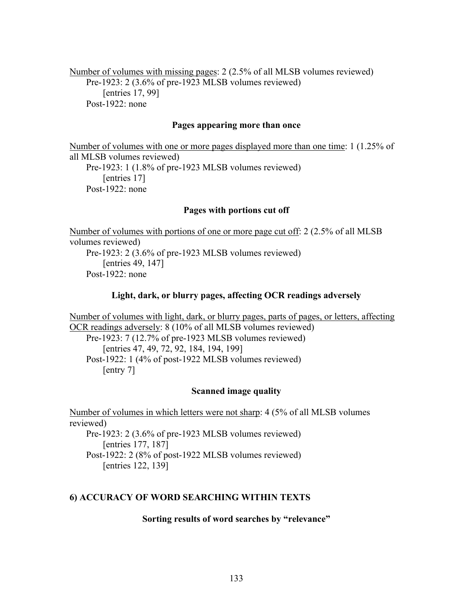Number of volumes with missing pages: 2 (2.5% of all MLSB volumes reviewed) Pre-1923: 2 (3.6% of pre-1923 MLSB volumes reviewed) [entries 17, 99] Post-1922: none

### **Pages appearing more than once**

Number of volumes with one or more pages displayed more than one time: 1 (1.25% of all MLSB volumes reviewed) Pre-1923: 1 (1.8% of pre-1923 MLSB volumes reviewed) [entries 17] Post-1922: none

### **Pages with portions cut off**

Number of volumes with portions of one or more page cut off: 2 (2.5% of all MLSB volumes reviewed) Pre-1923: 2 (3.6% of pre-1923 MLSB volumes reviewed) [entries 49, 147] Post-1922: none

### **Light, dark, or blurry pages, affecting OCR readings adversely**

Number of volumes with light, dark, or blurry pages, parts of pages, or letters, affecting OCR readings adversely: 8 (10% of all MLSB volumes reviewed) Pre-1923: 7 (12.7% of pre-1923 MLSB volumes reviewed)

[entries 47, 49, 72, 92, 184, 194, 199] Post-1922: 1 (4% of post-1922 MLSB volumes reviewed) [entry 7]

#### **Scanned image quality**

Number of volumes in which letters were not sharp: 4 (5% of all MLSB volumes reviewed) Pre-1923: 2 (3.6% of pre-1923 MLSB volumes reviewed) [entries 177, 187] Post-1922: 2 (8% of post-1922 MLSB volumes reviewed)

[entries 122, 139]

### **6) ACCURACY OF WORD SEARCHING WITHIN TEXTS**

#### **Sorting results of word searches by "relevance"**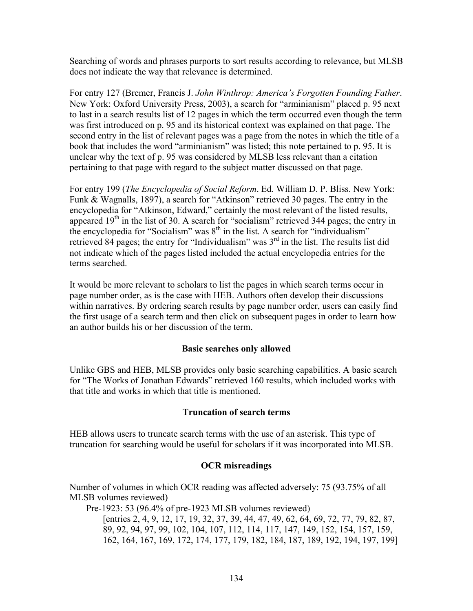Searching of words and phrases purports to sort results according to relevance, but MLSB does not indicate the way that relevance is determined.

For entry 127 (Bremer, Francis J. *John Winthrop: America's Forgotten Founding Father*. New York: Oxford University Press, 2003), a search for "arminianism" placed p. 95 next to last in a search results list of 12 pages in which the term occurred even though the term was first introduced on p. 95 and its historical context was explained on that page. The second entry in the list of relevant pages was a page from the notes in which the title of a book that includes the word "arminianism" was listed; this note pertained to p. 95. It is unclear why the text of p. 95 was considered by MLSB less relevant than a citation pertaining to that page with regard to the subject matter discussed on that page.

For entry 199 (*The Encyclopedia of Social Reform*. Ed. William D. P. Bliss. New York: Funk & Wagnalls, 1897), a search for "Atkinson" retrieved 30 pages. The entry in the encyclopedia for "Atkinson, Edward," certainly the most relevant of the listed results, appeared 19<sup>th</sup> in the list of 30. A search for "socialism" retrieved 344 pages; the entry in the encyclopedia for "Socialism" was  $8<sup>th</sup>$  in the list. A search for "individualism" retrieved 84 pages; the entry for "Individualism" was  $3<sup>rd</sup>$  in the list. The results list did not indicate which of the pages listed included the actual encyclopedia entries for the terms searched.

It would be more relevant to scholars to list the pages in which search terms occur in page number order, as is the case with HEB. Authors often develop their discussions within narratives. By ordering search results by page number order, users can easily find the first usage of a search term and then click on subsequent pages in order to learn how an author builds his or her discussion of the term.

## **Basic searches only allowed**

Unlike GBS and HEB, MLSB provides only basic searching capabilities. A basic search for "The Works of Jonathan Edwards" retrieved 160 results, which included works with that title and works in which that title is mentioned.

## **Truncation of search terms**

HEB allows users to truncate search terms with the use of an asterisk. This type of truncation for searching would be useful for scholars if it was incorporated into MLSB.

## **OCR misreadings**

Number of volumes in which OCR reading was affected adversely: 75 (93.75% of all MLSB volumes reviewed)

Pre-1923: 53 (96.4% of pre-1923 MLSB volumes reviewed) [entries 2, 4, 9, 12, 17, 19, 32, 37, 39, 44, 47, 49, 62, 64, 69, 72, 77, 79, 82, 87, 89, 92, 94, 97, 99, 102, 104, 107, 112, 114, 117, 147, 149, 152, 154, 157, 159, 162, 164, 167, 169, 172, 174, 177, 179, 182, 184, 187, 189, 192, 194, 197, 199]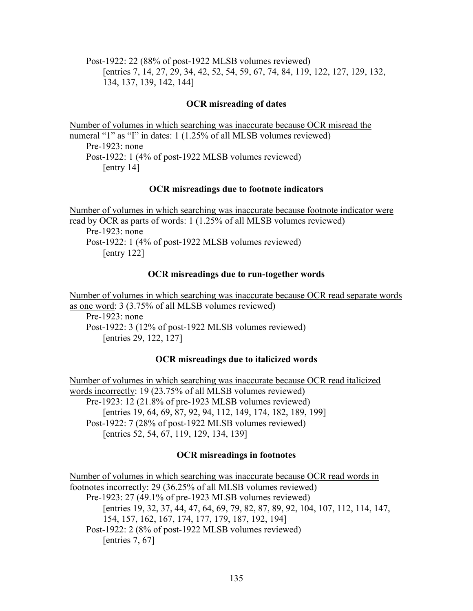Post-1922: 22 (88% of post-1922 MLSB volumes reviewed) [entries 7, 14, 27, 29, 34, 42, 52, 54, 59, 67, 74, 84, 119, 122, 127, 129, 132, 134, 137, 139, 142, 144]

## **OCR misreading of dates**

Number of volumes in which searching was inaccurate because OCR misread the numeral "1" as "I" in dates: 1 (1.25% of all MLSB volumes reviewed) Pre-1923: none Post-1922: 1 (4% of post-1922 MLSB volumes reviewed) [entry 14]

## **OCR misreadings due to footnote indicators**

Number of volumes in which searching was inaccurate because footnote indicator were read by OCR as parts of words: 1 (1.25% of all MLSB volumes reviewed) Pre-1923: none Post-1922: 1 (4% of post-1922 MLSB volumes reviewed) [entry 122]

### **OCR misreadings due to run-together words**

Number of volumes in which searching was inaccurate because OCR read separate words as one word: 3 (3.75% of all MLSB volumes reviewed) Pre-1923: none Post-1922: 3 (12% of post-1922 MLSB volumes reviewed) [entries 29, 122, 127]

## **OCR misreadings due to italicized words**

Number of volumes in which searching was inaccurate because OCR read italicized words incorrectly: 19 (23.75% of all MLSB volumes reviewed) Pre-1923: 12 (21.8% of pre-1923 MLSB volumes reviewed) [entries 19, 64, 69, 87, 92, 94, 112, 149, 174, 182, 189, 199] Post-1922: 7 (28% of post-1922 MLSB volumes reviewed) [entries 52, 54, 67, 119, 129, 134, 139]

## **OCR misreadings in footnotes**

Number of volumes in which searching was inaccurate because OCR read words in footnotes incorrectly: 29 (36.25% of all MLSB volumes reviewed) Pre-1923: 27 (49.1% of pre-1923 MLSB volumes reviewed) [entries 19, 32, 37, 44, 47, 64, 69, 79, 82, 87, 89, 92, 104, 107, 112, 114, 147, 154, 157, 162, 167, 174, 177, 179, 187, 192, 194] Post-1922: 2 (8% of post-1922 MLSB volumes reviewed) [entries 7, 67]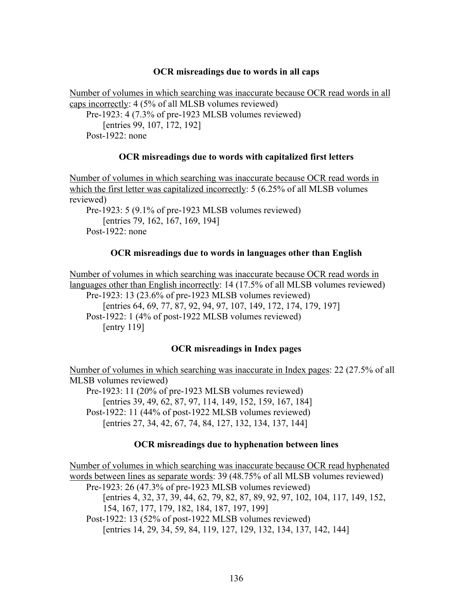### **OCR misreadings due to words in all caps**

Number of volumes in which searching was inaccurate because OCR read words in all caps incorrectly: 4 (5% of all MLSB volumes reviewed) Pre-1923: 4 (7.3% of pre-1923 MLSB volumes reviewed) [entries 99, 107, 172, 192] Post-1922: none

### **OCR misreadings due to words with capitalized first letters**

Number of volumes in which searching was inaccurate because OCR read words in which the first letter was capitalized incorrectly: 5 (6.25% of all MLSB volumes reviewed) Pre-1923: 5 (9.1% of pre-1923 MLSB volumes reviewed) [entries 79, 162, 167, 169, 194]

Post-1922: none

### **OCR misreadings due to words in languages other than English**

Number of volumes in which searching was inaccurate because OCR read words in languages other than English incorrectly: 14 (17.5% of all MLSB volumes reviewed) Pre-1923: 13 (23.6% of pre-1923 MLSB volumes reviewed) [entries 64, 69, 77, 87, 92, 94, 97, 107, 149, 172, 174, 179, 197] Post-1922: 1 (4% of post-1922 MLSB volumes reviewed) [entry 119]

## **OCR misreadings in Index pages**

Number of volumes in which searching was inaccurate in Index pages: 22 (27.5% of all MLSB volumes reviewed)

Pre-1923: 11 (20% of pre-1923 MLSB volumes reviewed) [entries 39, 49, 62, 87, 97, 114, 149, 152, 159, 167, 184] Post-1922: 11 (44% of post-1922 MLSB volumes reviewed) [entries 27, 34, 42, 67, 74, 84, 127, 132, 134, 137, 144]

## **OCR misreadings due to hyphenation between lines**

Number of volumes in which searching was inaccurate because OCR read hyphenated words between lines as separate words: 39 (48.75% of all MLSB volumes reviewed) Pre-1923: 26 (47.3% of pre-1923 MLSB volumes reviewed) [entries 4, 32, 37, 39, 44, 62, 79, 82, 87, 89, 92, 97, 102, 104, 117, 149, 152, 154, 167, 177, 179, 182, 184, 187, 197, 199] Post-1922: 13 (52% of post-1922 MLSB volumes reviewed) [entries 14, 29, 34, 59, 84, 119, 127, 129, 132, 134, 137, 142, 144]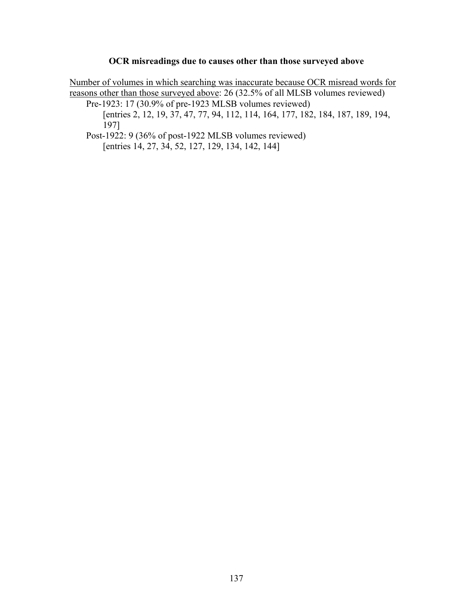## **OCR misreadings due to causes other than those surveyed above**

Number of volumes in which searching was inaccurate because OCR misread words for reasons other than those surveyed above: 26 (32.5% of all MLSB volumes reviewed)

Pre-1923: 17 (30.9% of pre-1923 MLSB volumes reviewed) [entries 2, 12, 19, 37, 47, 77, 94, 112, 114, 164, 177, 182, 184, 187, 189, 194, 197]

Post-1922: 9 (36% of post-1922 MLSB volumes reviewed) [entries 14, 27, 34, 52, 127, 129, 134, 142, 144]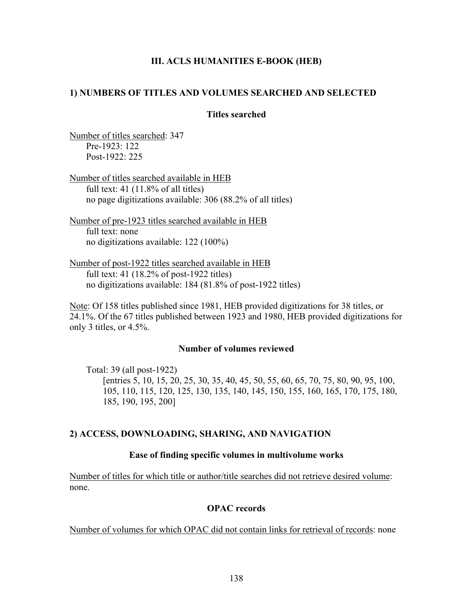## **III. ACLS HUMANITIES E-BOOK (HEB)**

## **1) NUMBERS OF TITLES AND VOLUMES SEARCHED AND SELECTED**

## **Titles searched**

Number of titles searched: 347 Pre-1923: 122 Post-1922: 225

Number of titles searched available in HEB full text:  $41$  (11.8% of all titles) no page digitizations available: 306 (88.2% of all titles)

Number of pre-1923 titles searched available in HEB full text: none no digitizations available: 122 (100%)

Number of post-1922 titles searched available in HEB full text: 41 (18.2% of post-1922 titles) no digitizations available: 184 (81.8% of post-1922 titles)

Note: Of 158 titles published since 1981, HEB provided digitizations for 38 titles, or 24.1%. Of the 67 titles published between 1923 and 1980, HEB provided digitizations for only 3 titles, or 4.5%.

### **Number of volumes reviewed**

Total: 39 (all post-1922) [entries 5, 10, 15, 20, 25, 30, 35, 40, 45, 50, 55, 60, 65, 70, 75, 80, 90, 95, 100, 105, 110, 115, 120, 125, 130, 135, 140, 145, 150, 155, 160, 165, 170, 175, 180, 185, 190, 195, 200]

## **2) ACCESS, DOWNLOADING, SHARING, AND NAVIGATION**

## **Ease of finding specific volumes in multivolume works**

Number of titles for which title or author/title searches did not retrieve desired volume: none.

## **OPAC records**

Number of volumes for which OPAC did not contain links for retrieval of records: none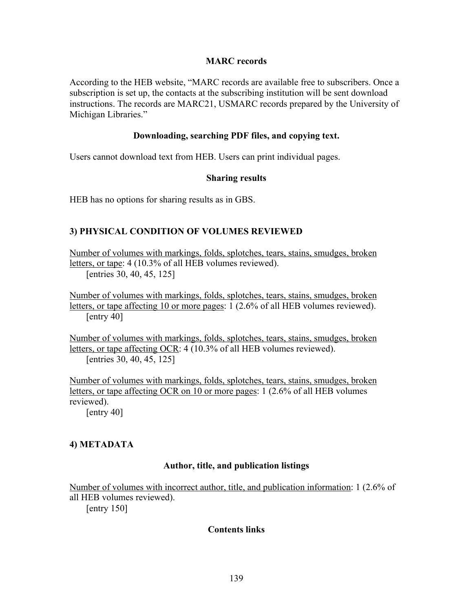## **MARC records**

According to the HEB website, "MARC records are available free to subscribers. Once a subscription is set up, the contacts at the subscribing institution will be sent download instructions. The records are MARC21, USMARC records prepared by the University of Michigan Libraries."

### **Downloading, searching PDF files, and copying text.**

Users cannot download text from HEB. Users can print individual pages.

### **Sharing results**

HEB has no options for sharing results as in GBS.

## **3) PHYSICAL CONDITION OF VOLUMES REVIEWED**

Number of volumes with markings, folds, splotches, tears, stains, smudges, broken letters, or tape: 4 (10.3% of all HEB volumes reviewed). [entries 30, 40, 45, 125]

Number of volumes with markings, folds, splotches, tears, stains, smudges, broken letters, or tape affecting 10 or more pages: 1 (2.6% of all HEB volumes reviewed). [entry 40]

Number of volumes with markings, folds, splotches, tears, stains, smudges, broken letters, or tape affecting OCR: 4 (10.3% of all HEB volumes reviewed). [entries 30, 40, 45, 125]

Number of volumes with markings, folds, splotches, tears, stains, smudges, broken letters, or tape affecting OCR on 10 or more pages: 1 (2.6% of all HEB volumes reviewed).

[entry 40]

## **4) METADATA**

## **Author, title, and publication listings**

Number of volumes with incorrect author, title, and publication information: 1 (2.6% of all HEB volumes reviewed).

[entry 150]

## **Contents links**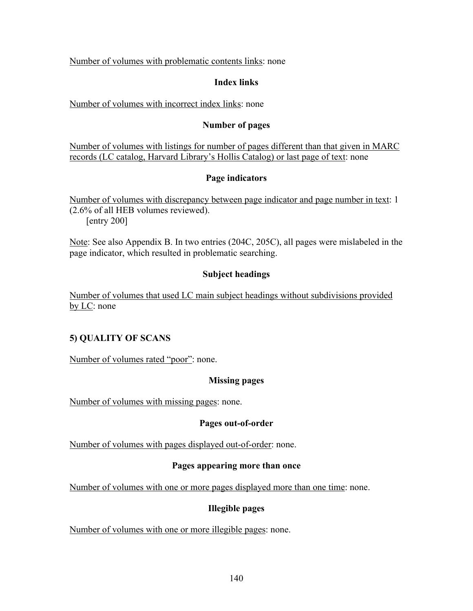Number of volumes with problematic contents links: none

## **Index links**

Number of volumes with incorrect index links: none

## **Number of pages**

Number of volumes with listings for number of pages different than that given in MARC records (LC catalog, Harvard Library's Hollis Catalog) or last page of text: none

## **Page indicators**

Number of volumes with discrepancy between page indicator and page number in text: 1 (2.6% of all HEB volumes reviewed). [entry 200]

Note: See also Appendix B. In two entries (204C, 205C), all pages were mislabeled in the page indicator, which resulted in problematic searching.

# **Subject headings**

Number of volumes that used LC main subject headings without subdivisions provided by LC: none

# **5) QUALITY OF SCANS**

Number of volumes rated "poor": none.

# **Missing pages**

Number of volumes with missing pages: none.

## **Pages out-of-order**

Number of volumes with pages displayed out-of-order: none.

## **Pages appearing more than once**

Number of volumes with one or more pages displayed more than one time: none.

## **Illegible pages**

Number of volumes with one or more illegible pages: none.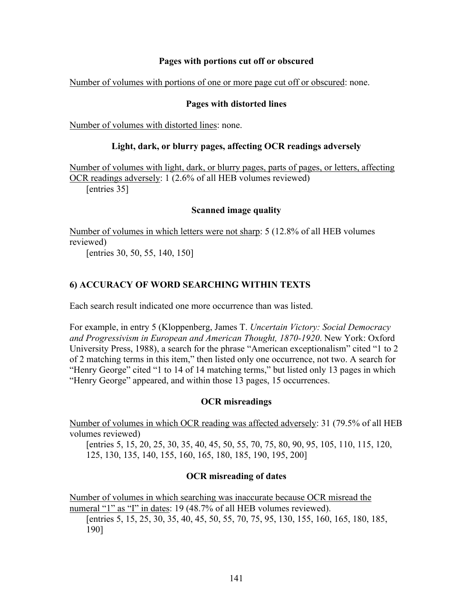## **Pages with portions cut off or obscured**

Number of volumes with portions of one or more page cut off or obscured: none.

## **Pages with distorted lines**

Number of volumes with distorted lines: none.

## **Light, dark, or blurry pages, affecting OCR readings adversely**

Number of volumes with light, dark, or blurry pages, parts of pages, or letters, affecting OCR readings adversely: 1 (2.6% of all HEB volumes reviewed) [entries 35]

## **Scanned image quality**

Number of volumes in which letters were not sharp: 5 (12.8% of all HEB volumes reviewed) [entries 30, 50, 55, 140, 150]

## **6) ACCURACY OF WORD SEARCHING WITHIN TEXTS**

Each search result indicated one more occurrence than was listed.

For example, in entry 5 (Kloppenberg, James T. *Uncertain Victory: Social Democracy and Progressivism in European and American Thought, 1870-1920*. New York: Oxford University Press, 1988), a search for the phrase "American exceptionalism" cited "1 to 2 of 2 matching terms in this item," then listed only one occurrence, not two. A search for "Henry George" cited "1 to 14 of 14 matching terms," but listed only 13 pages in which "Henry George" appeared, and within those 13 pages, 15 occurrences.

## **OCR misreadings**

Number of volumes in which OCR reading was affected adversely: 31 (79.5% of all HEB volumes reviewed)

[entries 5, 15, 20, 25, 30, 35, 40, 45, 50, 55, 70, 75, 80, 90, 95, 105, 110, 115, 120, 125, 130, 135, 140, 155, 160, 165, 180, 185, 190, 195, 200]

## **OCR misreading of dates**

Number of volumes in which searching was inaccurate because OCR misread the numeral "1" as "I" in dates: 19 (48.7% of all HEB volumes reviewed). [entries 5, 15, 25, 30, 35, 40, 45, 50, 55, 70, 75, 95, 130, 155, 160, 165, 180, 185, 190]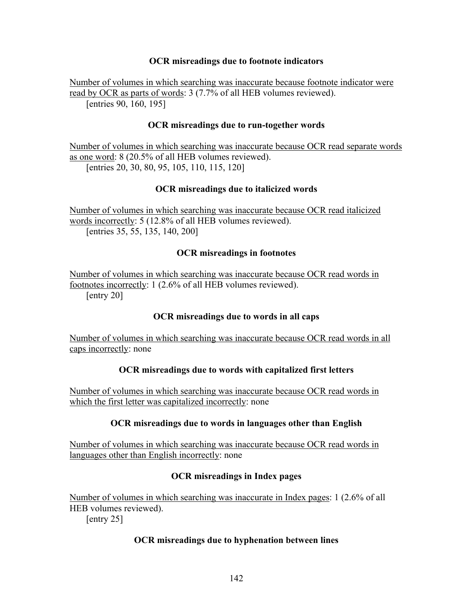## **OCR misreadings due to footnote indicators**

Number of volumes in which searching was inaccurate because footnote indicator were read by OCR as parts of words: 3 (7.7% of all HEB volumes reviewed). [entries 90, 160, 195]

## **OCR misreadings due to run-together words**

Number of volumes in which searching was inaccurate because OCR read separate words as one word: 8 (20.5% of all HEB volumes reviewed). [entries 20, 30, 80, 95, 105, 110, 115, 120]

## **OCR misreadings due to italicized words**

Number of volumes in which searching was inaccurate because OCR read italicized words incorrectly: 5 (12.8% of all HEB volumes reviewed). [entries 35, 55, 135, 140, 200]

## **OCR misreadings in footnotes**

Number of volumes in which searching was inaccurate because OCR read words in footnotes incorrectly: 1 (2.6% of all HEB volumes reviewed). [entry 20]

## **OCR misreadings due to words in all caps**

Number of volumes in which searching was inaccurate because OCR read words in all caps incorrectly: none

## **OCR misreadings due to words with capitalized first letters**

Number of volumes in which searching was inaccurate because OCR read words in which the first letter was capitalized incorrectly: none

## **OCR misreadings due to words in languages other than English**

Number of volumes in which searching was inaccurate because OCR read words in languages other than English incorrectly: none

## **OCR misreadings in Index pages**

Number of volumes in which searching was inaccurate in Index pages: 1 (2.6% of all HEB volumes reviewed). [entry 25]

## **OCR misreadings due to hyphenation between lines**